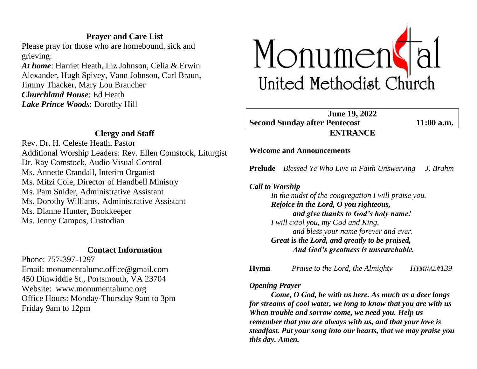# **Prayer and Care List**

Please pray for those who are homebound, sick and grieving:

*At home*: Harriet Heath, Liz Johnson, Celia & Erwin Alexander, Hugh Spivey, Vann Johnson, Carl Braun, Jimmy Thacker, Mary Lou Braucher *Churchland House*: Ed Heath *Lake Prince Woods*: Dorothy Hill



# **Clergy and Staff**

Rev. Dr. H. Celeste Heath, Pastor Additional Worship Leaders: Rev. Ellen Comstock, Liturgist Dr. Ray Comstock, Audio Visual Control Ms. Annette Crandall, Interim Organist Ms. Mitzi Cole, Director of Handbell Ministry Ms. Pam Snider, Administrative Assistant Ms. Dorothy Williams, Administrative Assistant Ms. Dianne Hunter, Bookkeeper Ms. Jenny Campos, Custodian

## **Contact Information**

Phone: 757-397-1297 Email: monumentalumc.office@gmail.com 450 Dinwiddie St., Portsmouth, VA 23704 Website: www.monumentalumc.org Office Hours: Monday-Thursday 9am to 3pm Friday 9am to 12pm

**June 19, 2022 Second Sunday after Pentecost 11:00 a.m. ENTRANCE**

## **Welcome and Announcements**

**Prelude** *Blessed Ye Who Live in Faith Unswerving J. Brahm*

*Call to Worship*

*In the midst of the congregation I will praise you. Rejoice in the Lord, O you righteous, and give thanks to God's holy name! I will extol you, my God and King, and bless your name forever and ever. Great is the Lord, and greatly to be praised, And God's greatness is unsearchable.*

**Hymn** *Praise to the Lord, the Almighty**HYMNAL#139* 

## *Opening Prayer*

*Come, O God, be with us here. As much as a deer longs for streams of cool water, we long to know that you are with us When trouble and sorrow come, we need you. Help us remember that you are always with us, and that your love is steadfast. Put your song into our hearts, that we may praise you this day. Amen.*